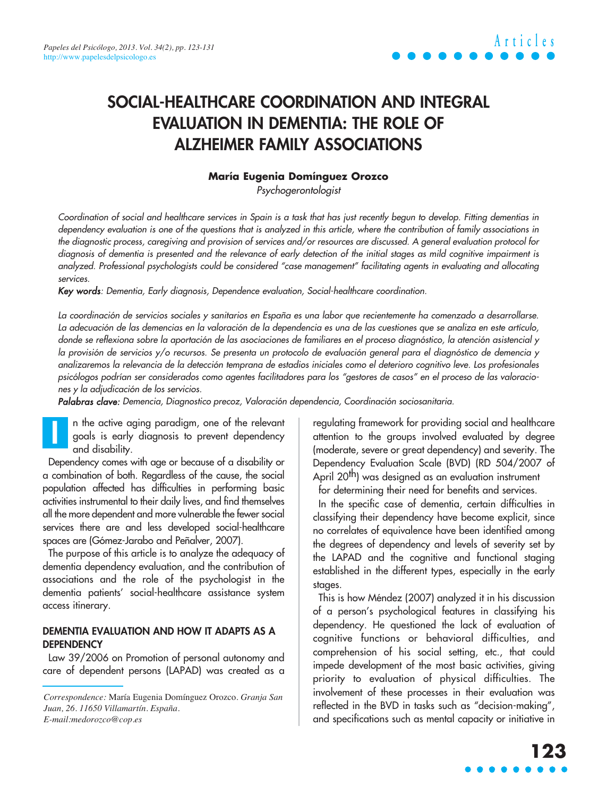# **SOCIAL-HEALTHCARE COORDINATION AND INTEGRAL EVALUATION IN DEMENTIA: THE ROLE OF ALZHEIMER FAMILY ASSOCIATIONS**

### **María Eugenia Domínguez Orozco**

Psychogerontologist

Coordination of social and healthcare services in Spain is a task that has just recently begun to develop. Fitting dementias in dependency evaluation is one of the questions that is analyzed in this article, where the contribution of family associations in the diagnostic process, caregiving and provision of services and/or resources are discussed. A general evaluation protocol for diagnosis of dementia is presented and the relevance of early detection of the initial stages as mild cognitive impairment is analyzed. Professional psychologists could be considered "case management" facilitating agents in evaluating and allocating services.

Key words: Dementia, Early diagnosis, Dependence evaluation, Social-healthcare coordination.

La coordinación de servicios sociales y sanitarios en España es una labor que recientemente ha comenzado a desarrollarse. La adecuación de las demencias en la valoración de la dependencia es una de las cuestiones que se analiza en este artículo, donde se reflexiona sobre la aportación de las asociaciones de familiares en el proceso diagnóstico, la atención asistencial y la provisión de servicios y/o recursos. Se presenta un protocolo de evaluación general para el diagnóstico de demencia y analizaremos la relevancia de la detección temprana de estadios iniciales como el deterioro cognitivo leve. Los profesionales psicólogos podrían ser considerados como agentes facilitadores para los "gestores de casos" en el proceso de las valoraciones y la adjudicación de los servicios.

Palabras clave: Demencia, Diagnostico precoz, Valoración dependencia, Coordinación sociosanitaria.

n the active aging paradigm, one of the relevant goals is early diagnosis to prevent dependency and disability. **I**

Dependency comes with age or because of a disability or a combination of both. Regardless of the cause, the social population affected has difficulties in performing basic activities instrumental to their daily lives, and find themselves all the more dependent and more vulnerable the fewer social services there are and less developed social-healthcare spaces are (Gómez-Jarabo and Peñalver, 2007).

The purpose of this article is to analyze the adequacy of dementia dependency evaluation, and the contribution of associations and the role of the psychologist in the dementia patients' social-healthcare assistance system access itinerary.

#### **DEMENTIA EVALUATION AND HOW IT ADAPTS AS A DEPENDENCY**

Law 39/2006 on Promotion of personal autonomy and care of dependent persons (LAPAD) was created as a regulating framework for providing social and healthcare attention to the groups involved evaluated by degree (moderate, severe or great dependency) and severity. The Dependency Evaluation Scale (BVD) (RD 504/2007 of April 20<sup>th</sup>) was designed as an evaluation instrument for determining their need for benefits and services.

In the specific case of dementia, certain difficulties in classifying their dependency have become explicit, since no correlates of equivalence have been identified among the degrees of dependency and levels of severity set by the LAPAD and the cognitive and functional staging established in the different types, especially in the early stages.

This is how Méndez (2007) analyzed it in his discussion of a person's psychological features in classifying his dependency. He questioned the lack of evaluation of cognitive functions or behavioral difficulties, and comprehension of his social setting, etc., that could impede development of the most basic activities, giving priority to evaluation of physical difficulties. The involvement of these processes in their evaluation was reflected in the BVD in tasks such as "decision-making", and specifications such as mental capacity or initiative in

*Correspondence:* María Eugenia Domínguez Orozco. *Granja San Juan, 26. 11650 Villamartín. España. E-mail:medorozco@cop.es*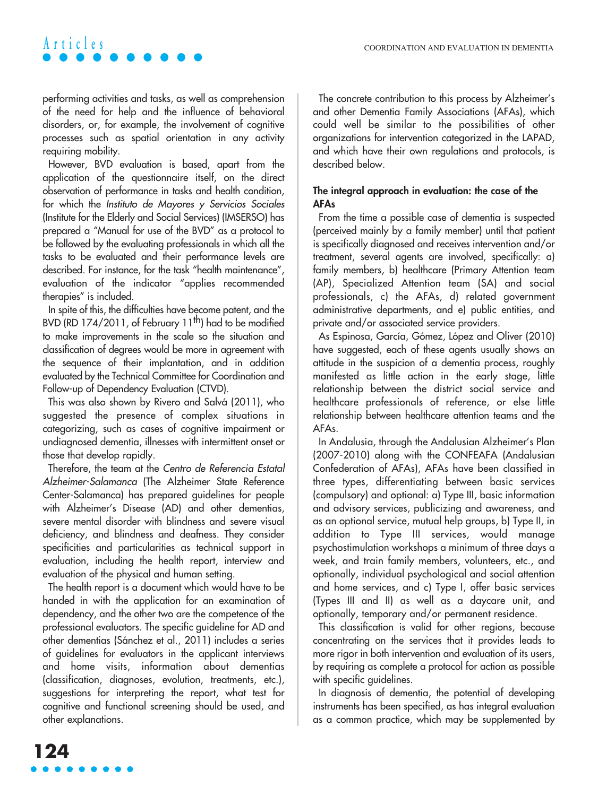performing activities and tasks, as well as comprehension of the need for help and the influence of behavioral disorders, or, for example, the involvement of cognitive processes such as spatial orientation in any activity requiring mobility.

However, BVD evaluation is based, apart from the application of the questionnaire itself, on the direct observation of performance in tasks and health condition, for which the Instituto de Mayores y Servicios Sociales (Institute for the Elderly and Social Services) (IMSERSO) has prepared a "Manual for use of the BVD" as a protocol to be followed by the evaluating professionals in which all the tasks to be evaluated and their performance levels are described. For instance, for the task "health maintenance", evaluation of the indicator "applies recommended therapies" is included.

In spite of this, the difficulties have become patent, and the BVD (RD 174/2011, of February 11<sup>th</sup>) had to be modified to make improvements in the scale so the situation and classification of degrees would be more in agreement with the sequence of their implantation, and in addition evaluated by the Technical Committee for Coordination and Follow-up of Dependency Evaluation (CTVD).

This was also shown by Rivero and Salvá (2011), who suggested the presence of complex situations in categorizing, such as cases of cognitive impairment or undiagnosed dementia, illnesses with intermittent onset or those that develop rapidly.

Therefore, the team at the Centro de Referencia Estatal Alzheimer-Salamanca (The Alzheimer State Reference Center-Salamanca) has prepared guidelines for people with Alzheimer's Disease (AD) and other dementias, severe mental disorder with blindness and severe visual deficiency, and blindness and deafness. They consider specificities and particularities as technical support in evaluation, including the health report, interview and evaluation of the physical and human setting.

The health report is a document which would have to be handed in with the application for an examination of dependency, and the other two are the competence of the professional evaluators. The specific guideline for AD and other dementias (Sánchez et al., 2011) includes a series of guidelines for evaluators in the applicant interviews and home visits, information about dementias (classification, diagnoses, evolution, treatments, etc.), suggestions for interpreting the report, what test for cognitive and functional screening should be used, and other explanations.

The concrete contribution to this process by Alzheimer's and other Dementia Family Associations (AFAs), which could well be similar to the possibilities of other organizations for intervention categorized in the LAPAD, and which have their own regulations and protocols, is described below.

### **The integral approach in evaluation: the case of the AFAs**

From the time a possible case of dementia is suspected (perceived mainly by a family member) until that patient is specifically diagnosed and receives intervention and/or treatment, several agents are involved, specifically: a) family members, b) healthcare (Primary Attention team (AP), Specialized Attention team (SA) and social professionals, c) the AFAs, d) related government administrative departments, and e) public entities, and private and/or associated service providers.

As Espinosa, García, Gómez, López and Oliver (2010) have suggested, each of these agents usually shows an attitude in the suspicion of a dementia process, roughly manifested as little action in the early stage, little relationship between the district social service and healthcare professionals of reference, or else little relationship between healthcare attention teams and the AFAs.

In Andalusia, through the Andalusian Alzheimer's Plan (2007-2010) along with the CONFEAFA (Andalusian Confederation of AFAs), AFAs have been classified in three types, differentiating between basic services (compulsory) and optional: a) Type III, basic information and advisory services, publicizing and awareness, and as an optional service, mutual help groups, b) Type II, in addition to Type III services, would manage psychostimulation workshops a minimum of three days a week, and train family members, volunteers, etc., and optionally, individual psychological and social attention and home services, and c) Type I, offer basic services (Types III and II) as well as a daycare unit, and optionally, temporary and/or permanent residence.

This classification is valid for other regions, because concentrating on the services that it provides leads to more rigor in both intervention and evaluation of its users, by requiring as complete a protocol for action as possible with specific guidelines.

In diagnosis of dementia, the potential of developing instruments has been specified, as has integral evaluation as a common practice, which may be supplemented by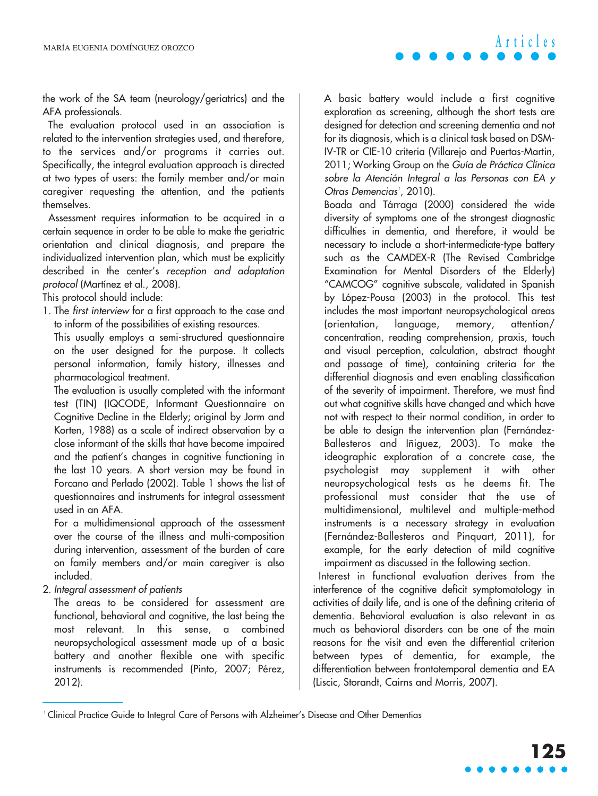the work of the SA team (neurology/geriatrics) and the AFA professionals.

The evaluation protocol used in an association is related to the intervention strategies used, and therefore, to the services and/or programs it carries out. Specifically, the integral evaluation approach is directed at two types of users: the family member and/or main caregiver requesting the attention, and the patients themselves.

Assessment requires information to be acquired in a certain sequence in order to be able to make the geriatric orientation and clinical diagnosis, and prepare the individualized intervention plan, which must be explicitly described in the center's reception and adaptation protocol (Martínez et al., 2008).

This protocol should include:

1. The first interview for a first approach to the case and to inform of the possibilities of existing resources.

This usually employs a semi-structured questionnaire on the user designed for the purpose. It collects personal information, family history, illnesses and pharmacological treatment.

The evaluation is usually completed with the informant test (TIN) (IQCODE, Informant Questionnaire on Cognitive Decline in the Elderly; original by Jorm and Korten, 1988) as a scale of indirect observation by a close informant of the skills that have become impaired and the patient's changes in cognitive functioning in the last 10 years. A short version may be found in Forcano and Perlado (2002). Table 1 shows the list of questionnaires and instruments for integral assessment used in an AFA.

For a multidimensional approach of the assessment over the course of the illness and multi-composition during intervention, assessment of the burden of care on family members and/or main caregiver is also included.

2. Integral assessment of patients

The areas to be considered for assessment are functional, behavioral and cognitive, the last being the most relevant. In this sense, a combined neuropsychological assessment made up of a basic battery and another flexible one with specific instruments is recommended (Pinto, 2007; Pérez, 2012).

A basic battery would include a first cognitive exploration as screening, although the short tests are designed for detection and screening dementia and not for its diagnosis, which is a clinical task based on DSM-IV-TR or CIE-10 criteria (Villarejo and Puertas-Martin, 2011; Working Group on the Guía de Práctica Clínica sobre la Atención Integral a las Personas con EA y Otras Demencias<sup>1</sup>, 2010).

Boada and Tárraga (2000) considered the wide diversity of symptoms one of the strongest diagnostic difficulties in dementia, and therefore, it would be necessary to include a short-intermediate-type battery such as the CAMDEX-R (The Revised Cambridge Examination for Mental Disorders of the Elderly) "CAMCOG" cognitive subscale, validated in Spanish by López-Pousa (2003) in the protocol. This test includes the most important neuropsychological areas (orientation, language, memory, attention/ concentration, reading comprehension, praxis, touch and visual perception, calculation, abstract thought and passage of time), containing criteria for the differential diagnosis and even enabling classification of the severity of impairment. Therefore, we must find out what cognitive skills have changed and which have not with respect to their normal condition, in order to be able to design the intervention plan (Fernández-Ballesteros and Iñiguez, 2003). To make the ideographic exploration of a concrete case, the psychologist may supplement it with other neuropsychological tests as he deems fit. The professional must consider that the use of multidimensional, multilevel and multiple-method instruments is a necessary strategy in evaluation (Fernández-Ballesteros and Pinquart, 2011), for example, for the early detection of mild cognitive impairment as discussed in the following section.

Interest in functional evaluation derives from the interference of the cognitive deficit symptomatology in activities of daily life, and is one of the defining criteria of dementia. Behavioral evaluation is also relevant in as much as behavioral disorders can be one of the main reasons for the visit and even the differential criterion between types of dementia, for example, the differentiation between frontotemporal dementia and EA (Liscic, Storandt, Cairns and Morris, 2007).

<sup>1</sup> Clinical Practice Guide to Integral Care of Persons with Alzheimer's Disease and Other Dementias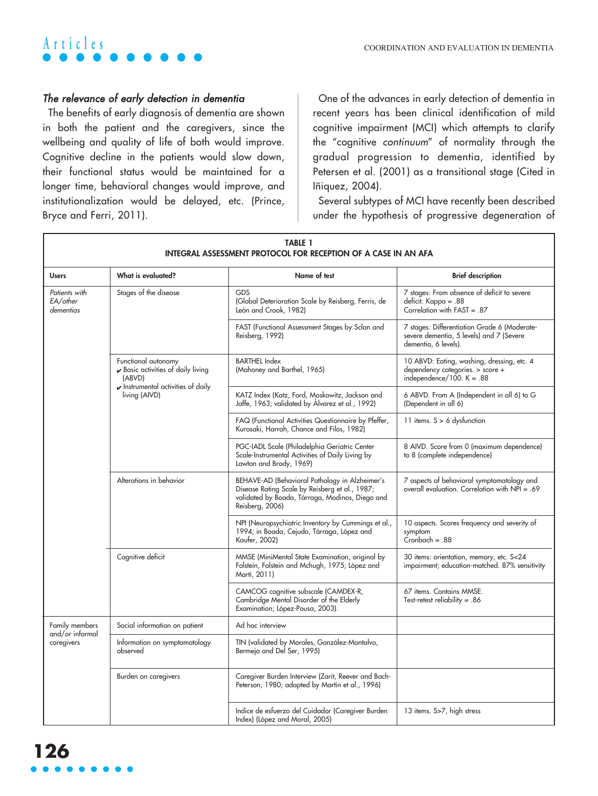

### The relevance of early detection in dementia

The benefits of early diagnosis of dementia are shown in both the patient and the caregivers, since the wellbeing and quality of life of both would improve. Cognitive decline in the patients would slow down, their functional status would be maintained for a longer time, behavioral changes would improve, and institutionalization would be delayed, etc. (Prince, Bryce and Ferri, 2011).

One of the advances in early detection of dementia in recent years has been clinical identification of mild cognitive impairment (MCI) which attempts to clarify the "cognitive continuum" of normality through the gradual progression to dementia, identified by Petersen et al. (2001) as a transitional stage (Cited in Iñiquez, 2004).

Several subtypes of MCI have recently been described under the hypothesis of progressive degeneration of

| <b>TABLE 1</b><br>INTEGRAL ASSESSMENT PROTOCOL FOR RECEPTION OF A CASE IN AN AFA |                                                                                                                                                                    |                                                                                                                                                                        |                                                                                                                  |
|----------------------------------------------------------------------------------|--------------------------------------------------------------------------------------------------------------------------------------------------------------------|------------------------------------------------------------------------------------------------------------------------------------------------------------------------|------------------------------------------------------------------------------------------------------------------|
| <b>Users</b>                                                                     | What is evaluated?                                                                                                                                                 | Name of test                                                                                                                                                           | <b>Brief description</b>                                                                                         |
| Patients with<br>EA/other<br>dementias                                           | Stages of the disease                                                                                                                                              | GDS<br>(Global Deterioration Scale by Reisberg, Ferris, de<br>León and Crook, 1982)                                                                                    | 7 stages: From absence of deficit to severe<br>deficit. Kappa = .88<br>Correlation with FAST = .87               |
|                                                                                  |                                                                                                                                                                    | FAST (Functional Assessment Stages by Sclan and<br>Reisberg, 1992)                                                                                                     | 7 stages: Differentiation Grade 6 (Moderate-<br>severe dementia, 5 levels) and 7 (Severe<br>dementia, 6 levels). |
|                                                                                  | Functional autonomy<br>$\blacktriangleright$ Basic activities of daily living<br>(ABVD)<br>$\blacktriangleright$ Instrumental activities of daily<br>living (AIVD) | <b>BARTHEL Index</b><br>(Mahoney and Barthel, 1965)                                                                                                                    | 10 ABVD: Eating, washing, dressing, etc. 4<br>dependency categories. > score +<br>independence/100. $K = .88$    |
|                                                                                  |                                                                                                                                                                    | KATZ Index (Katz, Ford, Moskowitz, Jackson and<br>Jaffe, 1963; validated by Alvarez et al., 1992)                                                                      | 6 ABVD. From A (Independent in all 6) to G<br>(Dependent in all 6)                                               |
|                                                                                  |                                                                                                                                                                    | FAQ (Functional Activities Questionnaire by Pfeffer,<br>Kurosaki, Harrah, Chance and Filos, 1982)                                                                      | 11 items. $S > 6$ dysfunction                                                                                    |
|                                                                                  |                                                                                                                                                                    | PGC-IADL Scale (Philadelphia Geriatric Center<br>Scale-Instrumental Activities of Daily Living by<br>Lawton and Brody, 1969)                                           | 8 AIVD. Score from 0 (maximum dependence)<br>to 8 (complete independence)                                        |
|                                                                                  | Alterations in behavior                                                                                                                                            | BEHAVE-AD (Behavioral Pathology in Alzheimer's<br>Disease Rating Scale by Reisberg et al., 1987;<br>validated by Boada, Tárraga, Modinos, Diego and<br>Reisberg, 2006) | 7 aspects of behavioral symptomatology and<br>overall evaluation. Correlation with NPI = .69                     |
|                                                                                  |                                                                                                                                                                    | NPI (Neuropsychiatric Inventory by Cummings et al.,<br>1994; in Boada, Cejudo, Tárraga, López and<br>Kaufer, 2002)                                                     | 10 aspects. Scores frequency and severity of<br>symptom<br>$Cronbach = .88$                                      |
|                                                                                  | Cognitive deficit                                                                                                                                                  | MMSE (MiniMental State Examination, original by<br>Folstein, Folstein and Mchugh, 1975; López and<br>Martí, 2011)                                                      | 30 items: orientation, memory, etc. S<24<br>impairment; education-matched. 87% sensitivity                       |
|                                                                                  |                                                                                                                                                                    | CAMCOG cognitive subscale (CAMDEX-R,<br>Cambridge Mental Disorder of the Elderly<br>Examination; López-Pousa, 2003).                                                   | 67 items. Contains MMSE.<br>Test-retest reliability = $.86$                                                      |
| <b>Family members</b><br>and/or informal<br>caregivers                           | Social information on patient                                                                                                                                      | Ad hoc interview                                                                                                                                                       |                                                                                                                  |
|                                                                                  | Information on symptomatology<br>observed                                                                                                                          | TIN (validated by Morales, González-Montalvo,<br>Bermejo and Del Ser, 1995)                                                                                            |                                                                                                                  |
|                                                                                  | Burden on caregivers                                                                                                                                               | Caregiver Burden Interview (Zarit, Reever and Bach-<br>Peterson, 1980; adapted by Martín et al., 1996)                                                                 |                                                                                                                  |
|                                                                                  |                                                                                                                                                                    | Indice de esfuerzo del Cuidador (Caregiver Burden<br>Index) (López and Moral, 2005)                                                                                    | 13 items. S>7, high stress                                                                                       |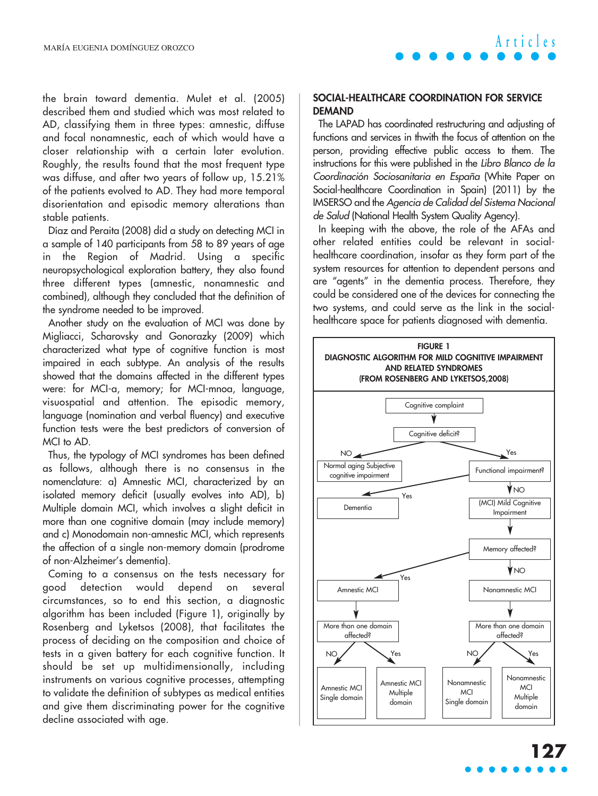the brain toward dementia. Mulet et al. (2005) described them and studied which was most related to AD, classifying them in three types: amnestic, diffuse and focal nonamnestic, each of which would have a closer relationship with a certain later evolution. Roughly, the results found that the most frequent type was diffuse, and after two years of follow up, 15.21% of the patients evolved to AD. They had more temporal disorientation and episodic memory alterations than stable patients.

Díaz and Peraita (2008) did a study on detecting MCI in a sample of 140 participants from 58 to 89 years of age in the Region of Madrid. Using a specific neuropsychological exploration battery, they also found three different types (amnestic, nonamnestic and combined), although they concluded that the definition of the syndrome needed to be improved.

Another study on the evaluation of MCI was done by Migliacci, Scharovsky and Gonorazky (2009) which characterized what type of cognitive function is most impaired in each subtype. An analysis of the results showed that the domains affected in the different types were: for MCI-a, memory; for MCI-mnoa, language, visuospatial and attention. The episodic memory, language (nomination and verbal fluency) and executive function tests were the best predictors of conversion of MCI to AD.

Thus, the typology of MCI syndromes has been defined as follows, although there is no consensus in the nomenclature: a) Amnestic MCI, characterized by an isolated memory deficit (usually evolves into AD), b) Multiple domain MCI, which involves a slight deficit in more than one cognitive domain (may include memory) and c) Monodomain non-amnestic MCI, which represents the affection of a single non-memory domain (prodrome of non-Alzheimer's dementia).

Coming to a consensus on the tests necessary for good detection would depend on several circumstances, so to end this section, a diagnostic algorithm has been included (Figure 1), originally by Rosenberg and Lyketsos (2008), that facilitates the process of deciding on the composition and choice of tests in a given battery for each cognitive function. It should be set up multidimensionally, including instruments on various cognitive processes, attempting to validate the definition of subtypes as medical entities and give them discriminating power for the cognitive decline associated with age.

### **SOCIAL-HEALTHCARE COORDINATION FOR SERVICE DEMAND**

The LAPAD has coordinated restructuring and adjusting of functions and services in thwith the focus of attention on the person, providing effective public access to them. The instructions for this were published in the Libro Blanco de la Coordinación Sociosanitaria en España (White Paper on Social-healthcare Coordination in Spain) (2011) by the IMSERSO and the Agencia de Calidad del Sistema Nacional de Salud (National Health System Quality Agency).

In keeping with the above, the role of the AFAs and other related entities could be relevant in socialhealthcare coordination, insofar as they form part of the system resources for attention to dependent persons and are "agents" in the dementia process. Therefore, they could be considered one of the devices for connecting the two systems, and could serve as the link in the socialhealthcare space for patients diagnosed with dementia.

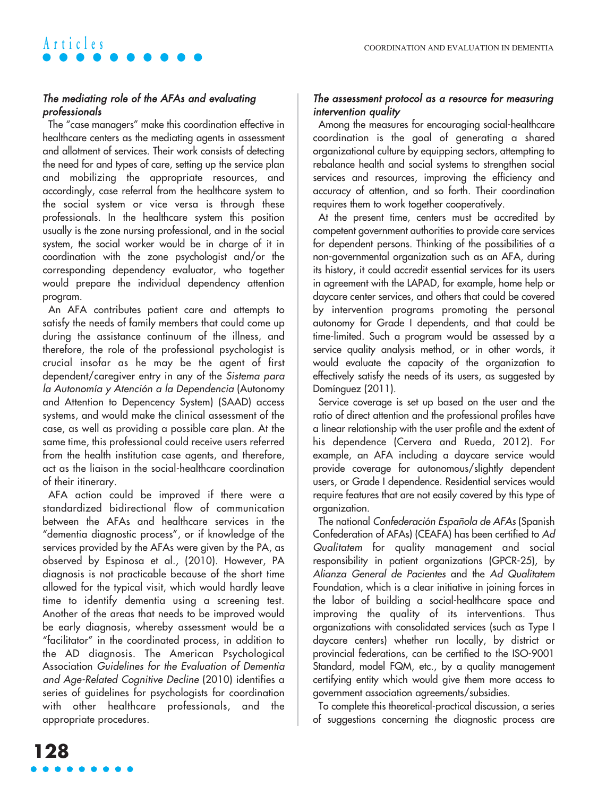## The mediating role of the AFAs and evaluating professionals

The "case managers" make this coordination effective in healthcare centers as the mediating agents in assessment and allotment of services. Their work consists of detecting the need for and types of care, setting up the service plan and mobilizing the appropriate resources, and accordingly, case referral from the healthcare system to the social system or vice versa is through these professionals. In the healthcare system this position usually is the zone nursing professional, and in the social system, the social worker would be in charge of it in coordination with the zone psychologist and/or the corresponding dependency evaluator, who together would prepare the individual dependency attention program.

An AFA contributes patient care and attempts to satisfy the needs of family members that could come up during the assistance continuum of the illness, and therefore, the role of the professional psychologist is crucial insofar as he may be the agent of first dependent/caregiver entry in any of the Sistema para la Autonomía y Atención a la Dependencia (Autonomy and Attention to Depencency System) (SAAD) access systems, and would make the clinical assessment of the case, as well as providing a possible care plan. At the same time, this professional could receive users referred from the health institution case agents, and therefore, act as the liaison in the social-healthcare coordination of their itinerary.

AFA action could be improved if there were a standardized bidirectional flow of communication between the AFAs and healthcare services in the "dementia diagnostic process", or if knowledge of the services provided by the AFAs were given by the PA, as observed by Espinosa et al., (2010). However, PA diagnosis is not practicable because of the short time allowed for the typical visit, which would hardly leave time to identify dementia using a screening test. Another of the areas that needs to be improved would be early diagnosis, whereby assessment would be a "facilitator" in the coordinated process, in addition to the AD diagnosis. The American Psychological Association Guidelines for the Evaluation of Dementia and Age-Related Cognitive Decline (2010) identifies a series of guidelines for psychologists for coordination with other healthcare professionals, and the appropriate procedures.

### The assessment protocol as a resource for measuring intervention quality

Among the measures for encouraging social-healthcare coordination is the goal of generating a shared organizational culture by equipping sectors, attempting to rebalance health and social systems to strengthen social services and resources, improving the efficiency and accuracy of attention, and so forth. Their coordination requires them to work together cooperatively.

At the present time, centers must be accredited by competent government authorities to provide care services for dependent persons. Thinking of the possibilities of a non-governmental organization such as an AFA, during its history, it could accredit essential services for its users in agreement with the LAPAD, for example, home help or daycare center services, and others that could be covered by intervention programs promoting the personal autonomy for Grade I dependents, and that could be time-limited. Such a program would be assessed by a service quality analysis method, or in other words, it would evaluate the capacity of the organization to effectively satisfy the needs of its users, as suggested by Domínguez (2011).

Service coverage is set up based on the user and the ratio of direct attention and the professional profiles have a linear relationship with the user profile and the extent of his dependence (Cervera and Rueda, 2012). For example, an AFA including a daycare service would provide coverage for autonomous/slightly dependent users, or Grade I dependence. Residential services would require features that are not easily covered by this type of organization.

The national Confederación Española de AFAs (Spanish Confederation of AFAs) (CEAFA) has been certified to Ad Qualitatem for quality management and social responsibility in patient organizations (GPCR-25), by Alianza General de Pacientes and the Ad Qualitatem Foundation, which is a clear initiative in joining forces in the labor of building a social-healthcare space and improving the quality of its interventions. Thus organizations with consolidated services (such as Type I daycare centers) whether run locally, by district or provincial federations, can be certified to the ISO-9001 Standard, model FQM, etc., by a quality management certifying entity which would give them more access to government association agreements/subsidies.

To complete this theoretical-practical discussion, a series of suggestions concerning the diagnostic process are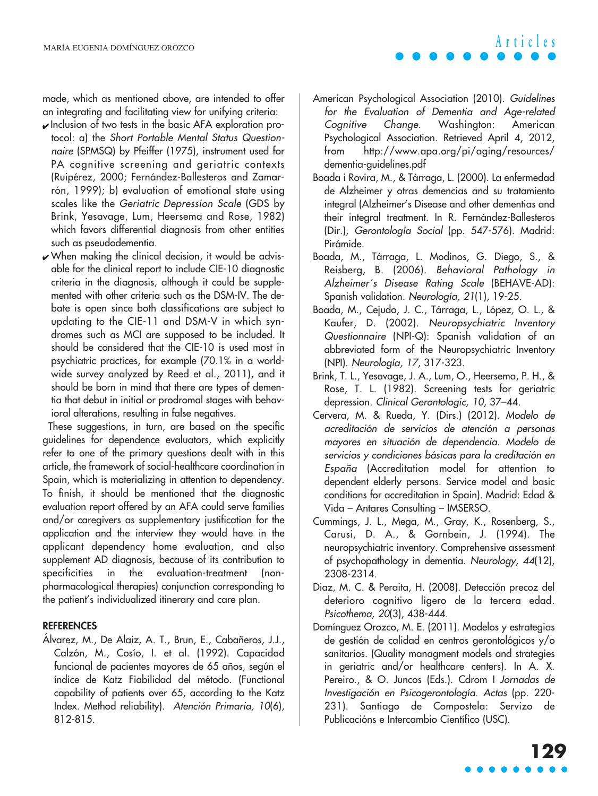made, which as mentioned above, are intended to offer an integrating and facilitating view for unifying criteria:

- ✔ Inclusion of two tests in the basic AFA exploration protocol: a) the Short Portable Mental Status Questionnaire (SPMSQ) by Pfeiffer (1975), instrument used for PA cognitive screening and geriatric contexts (Ruipérez, 2000; Fernández-Ballesteros and Zamarrón, 1999); b) evaluation of emotional state using scales like the Geriatric Depression Scale (GDS by Brink, Yesavage, Lum, Heersema and Rose, 1982) which favors differential diagnosis from other entities such as pseudodementia.
- $\boldsymbol{\nu}$  When making the clinical decision, it would be advisable for the clinical report to include CIE-10 diagnostic criteria in the diagnosis, although it could be supplemented with other criteria such as the DSM-IV. The debate is open since both classifications are subject to updating to the CIE-11 and DSM-V in which syndromes such as MCI are supposed to be included. It should be considered that the CIE-10 is used most in psychiatric practices, for example (70.1% in a worldwide survey analyzed by Reed et al., 2011), and it should be born in mind that there are types of dementia that debut in initial or prodromal stages with behavioral alterations, resulting in false negatives.

These suggestions, in turn, are based on the specific guidelines for dependence evaluators, which explicitly refer to one of the primary questions dealt with in this article, the framework of social-healthcare coordination in Spain, which is materializing in attention to dependency. To finish, it should be mentioned that the diagnostic evaluation report offered by an AFA could serve families and/or caregivers as supplementary justification for the application and the interview they would have in the applicant dependency home evaluation, and also supplement AD diagnosis, because of its contribution to specificities in the evaluation-treatment (nonpharmacological therapies) conjunction corresponding to the patient's individualized itinerary and care plan.

#### **REFERENCES**

Álvarez, M., De Alaiz, A. T., Brun, E., Cabañeros, J.J., Calzón, M., Cosío, I. et al. (1992). Capacidad funcional de pacientes mayores de 65 años, según el índice de Katz Fiabilidad del método. (Functional capability of patients over 65, according to the Katz Index. Method reliability). Atención Primaria, 10(6), 812-815.

American Psychological Association (2010). Guidelines for the Evaluation of Dementia and Age-related Cognitive Change. Washington: American Psychological Association. Retrieved April 4, 2012, from http://www.apa.org/pi/aging/resources/ dementia-guidelines.pdf

**Articles**

- Boada i Rovira, M., & Tárraga, L. (2000). La enfermedad de Alzheimer y otras demencias and su tratamiento integral (Alzheimer's Disease and other dementias and their integral treatment. In R. Fernández-Ballesteros (Dir.), Gerontología Social (pp. 547-576). Madrid: Pirámide.
- Boada, M., Tárraga, L. Modinos, G. Diego, S., & Reisberg, B. (2006). Behavioral Pathology in Alzheimer´s Disease Rating Scale (BEHAVE-AD): Spanish validation. Neurología, 21(1), 19-25.
- Boada, M., Cejudo, J. C., Tárraga, L., López, O. L., & Kaufer, D. (2002). Neuropsychiatric Inventory Questionnaire (NPI-Q): Spanish validation of an abbreviated form of the Neuropsychiatric Inventory (NPI). Neurología, 17, 317-323.
- Brink, T. L., Yesavage, J. A., Lum, O., Heersema, P. H., & Rose, T. L. (1982). Screening tests for geriatric depression. Clinical Gerontologic, 10, 37–44.
- Cervera, M. & Rueda, Y. (Dirs.) (2012). Modelo de acreditación de servicios de atención a personas mayores en situación de dependencia. Modelo de servicios y condiciones básicas para la creditación en España (Accreditation model for attention to dependent elderly persons. Service model and basic conditions for accreditation in Spain). Madrid: Edad & Vida – Antares Consulting – IMSERSO.
- Cummings, J. L., Mega, M., Gray, K., Rosenberg, S., Carusi, D. A., & Gornbein, J. (1994). The neuropsychiatric inventory. Comprehensive assessment of psychopathology in dementia. Neurology, 44(12), 2308-2314.
- Diaz, M. C. & Peraita, H. (2008). Detección precoz del deterioro cognitivo ligero de la tercera edad. Psicothema, 20(3), 438-444.
- Domínguez Orozco, M. E. (2011). Modelos y estrategias de gestión de calidad en centros gerontológicos y/o sanitarios. (Quality managment models and strategies in geriatric and/or healthcare centers). In A. X. Pereiro., & O. Juncos (Eds.). Cdrom I Jornadas de Investigación en Psicogerontología. Actas (pp. 220- 231). Santiago de Compostela: Servizo de Publicacións e Intercambio Científico (USC).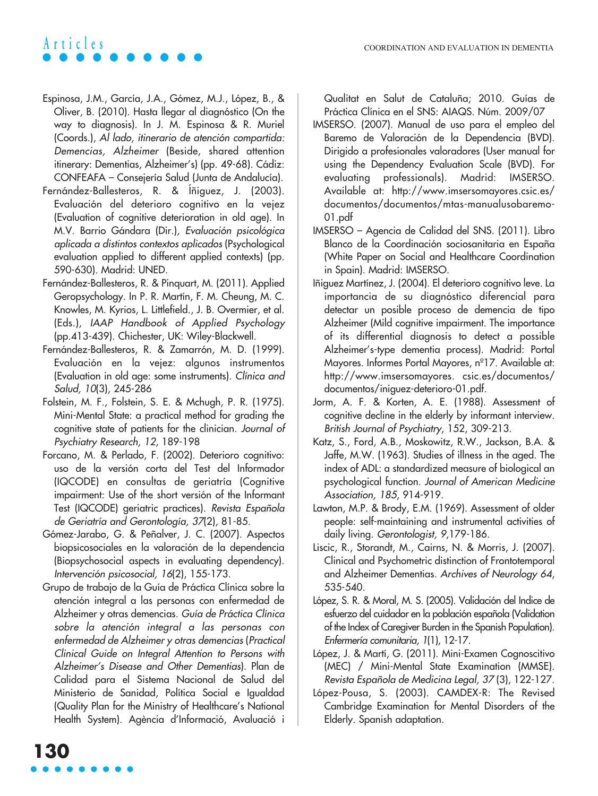- Espinosa, J.M., García, J.A., Gómez, M.J., López, B., & Oliver, B. (2010). Hasta llegar al diagnóstico (On the way to diagnosis). In J. M. Espinosa & R. Muriel (Coords.), Al lado, itinerario de atención compartida: Demencias, Alzheimer (Beside, shared attention itinerary: Dementias, Alzheimer's) (pp. 49-68). Cádiz: CONFEAFA – Consejería Salud (Junta de Andalucía).
- Fernández-Ballesteros, R. & Íñiguez, J. (2003). Evaluación del deterioro cognitivo en la vejez (Evaluation of cognitive deterioration in old age). In M.V. Barrio Gándara (Dir.), Evaluación psicológica aplicada a distintos contextos aplicados (Psychological evaluation applied to different applied contexts) (pp. 590-630). Madrid: UNED.
- Fernández-Ballesteros, R. & Pinquart, M. (2011). Applied Geropsychology. In P. R. Martín, F. M. Cheung, M. C. Knowles, M. Kyrios, L. Littlefield., J. B. Overmier, et al. (Eds.), IAAP Handbook of Applied Psychology (pp.413-439). Chichester, UK: Wiley-Blackwell.
- Fernández-Ballesteros, R. & Zamarrón, M. D. (1999). Evaluación en la vejez: algunos instrumentos (Evaluation in old age: some instruments). Clínica and Salud, 10(3), 245-286
- Folstein, M. F., Folstein, S. E. & Mchugh, P. R. (1975). Mini-Mental State: a practical method for grading the cognitive state of patients for the clinician. Journal of Psychiatry Research, 12, 189-198
- Forcano, M. & Perlado, F. (2002). Deterioro cognitivo: uso de la versión corta del Test del Informador (IQCODE) en consultas de geriatría (Cognitive impairment: Use of the short versión of the Informant Test (IQCODE) geriatric practices). Revista Española de Geriatría and Gerontología, 37(2), 81-85.
- Gómez-Jarabo, G. & Peñalver, J. C. (2007). Aspectos biopsicosociales en la valoración de la dependencia (Biopsychosocial aspects in evaluating dependency). Intervención psicosocial, 16(2), 155-173.
- Grupo de trabajo de la Guía de Práctica Clínica sobre la atención integral a las personas con enfermedad de Alzheimer y otras demencias. Guía de Práctica Clínica sobre la atención integral a las personas con enfermedad de Alzheimer y otras demencias (Practical Clinical Guide on Integral Attention to Persons with Alzheimer's Disease and Other Dementias). Plan de Calidad para el Sistema Nacional de Salud del Ministerio de Sanidad, Política Social e Igualdad (Quality Plan for the Ministry of Healthcare's National Health System). Agència d'Informació, Avaluació i

Qualitat en Salut de Cataluña; 2010. Guías de Práctica Clínica en el SNS: AIAQS. Núm. 2009/07

- IMSERSO. (2007). Manual de uso para el empleo del Baremo de Valoración de la Dependencia (BVD). Dirigido a profesionales valoradores (User manual for using the Dependency Evaluation Scale (BVD). For evaluating professionals). Madrid: IMSERSO. Available at: http://www.imsersomayores.csic.es/ documentos/documentos/mtas-manualusobaremo-01.pdf
- IMSERSO Agencia de Calidad del SNS. (2011). Libro Blanco de la Coordinación sociosanitaria en España (White Paper on Social and Healthcare Coordination in Spain). Madrid: IMSERSO.
- Iñiguez Martínez, J. (2004). El deterioro cognitivo leve. La importancia de su diagnóstico diferencial para detectar un posible proceso de demencia de tipo Alzheimer (Mild cognitive impairment. The importance of its differential diagnosis to detect a possible Alzheimer's-type dementia process). Madrid: Portal Mayores. Informes Portal Mayores, n°17. Available at: http://www.imsersomayores. csic.es/documentos/ documentos/iniguez-deterioro-01.pdf.
- Jorm, A. F. & Korten, A. E. (1988). Assessment of cognitive decline in the elderly by informant interview. British Journal of Psychiatry, 152, 309-213.
- Katz, S., Ford, A.B., Moskowitz, R.W., Jackson, B.A. & Jaffe, M.W. (1963). Studies of illness in the aged. The index of ADL: a standardized measure of biological an psychological function. Journal of American Medicine Association, 185, 914-919.
- Lawton, M.P. & Brody, E.M. (1969). Assessment of older people: self-maintaining and instrumental activities of daily living. Gerontologist, 9,179-186.
- Liscic, R., Storandt, M., Cairns, N. & Morris, J. (2007). Clinical and Psychometric distinction of Frontotemporal and Alzheimer Dementias. Archives of Neurology 64, 535-540.
- López, S. R. & Moral, M. S. (2005). Validación del Indice de esfuerzo del cuidador en la población española (Validation of the Index of Caregiver Burden in the Spanish Population). Enfermería comunitaria, 1(1), 12-17.
- López, J. & Martí, G. (2011). Mini-Examen Cognoscitivo (MEC) / Mini-Mental State Examination (MMSE). Revista Española de Medicina Legal, 37 (3), 122-127.
- López-Pousa, S. (2003). CAMDEX-R: The Revised Cambridge Examination for Mental Disorders of the Elderly. Spanish adaptation.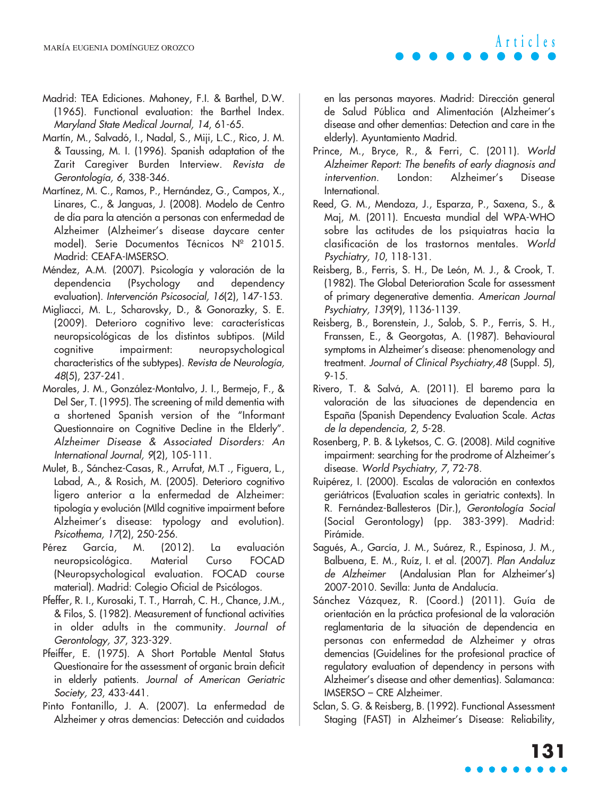- Madrid: TEA Ediciones. Mahoney, F.I. & Barthel, D.W. (1965). Functional evaluation: the Barthel Index. Maryland State Medical Journal, 14, 61-65.
- Martín, M., Salvadó, I., Nadal, S., Miji, L.C., Rico, J. M. & Taussing, M. I. (1996). Spanish adaptation of the Zarit Caregiver Burden Interview. Revista de Gerontología, 6, 338-346.
- Martínez, M. C., Ramos, P., Hernández, G., Campos, X., Linares, C., & Janguas, J. (2008). Modelo de Centro de día para la atención a personas con enfermedad de Alzheimer (Alzheimer's disease daycare center model). Serie Documentos Técnicos Nº 21015. Madrid: CEAFA-IMSERSO.
- Méndez, A.M. (2007). Psicología y valoración de la dependencia (Psychology and dependency evaluation). Intervención Psicosocial, 16(2), 147-153.
- Migliacci, M. L., Scharovsky, D., & Gonorazky, S. E. (2009). Deterioro cognitivo leve: características neuropsicológicas de los distintos subtipos. (Mild cognitive impairment: neuropsychological characteristics of the subtypes). Revista de Neurología, 48(5), 237-241.
- Morales, J. M., González-Montalvo, J. I., Bermejo, F., & Del Ser, T. (1995). The screening of mild dementia with a shortened Spanish version of the "Informant Questionnaire on Cognitive Decline in the Elderly". Alzheimer Disease & Associated Disorders: An International Journal, 9(2), 105-111.
- Mulet, B., Sánchez-Casas, R., Arrufat, M.T ., Figuera, L., Labad, A., & Rosich, M. (2005). Deterioro cognitivo ligero anterior a la enfermedad de Alzheimer: tipología y evolución (MIld cognitive impairment before Alzheimer's disease: typology and evolution). Psicothema, 17(2), 250-256.
- Pérez García, M. (2012). La evaluación neuropsicológica. Material Curso FOCAD (Neuropsychological evaluation. FOCAD course material). Madrid: Colegio Oficial de Psicólogos.
- Pfeffer, R. I., Kurosaki, T. T., Harrah, C. H., Chance, J.M., & Filos, S. (1982). Measurement of functional activities in older adults in the community. Journal of Gerontology, 37, 323-329.
- Pfeiffer, E. (1975). A Short Portable Mental Status Questionaire for the assessment of organic brain deficit in elderly patients. Journal of American Geriatric Society, 23, 433-441.
- Pinto Fontanillo, J. A. (2007). La enfermedad de Alzheimer y otras demencias: Detección and cuidados

en las personas mayores. Madrid: Dirección general de Salud Pública and Alimentación (Alzheimer's disease and other dementias: Detection and care in the elderly). Ayuntamiento Madrid.

- Prince, M., Bryce, R., & Ferri, C. (2011). World Alzheimer Report: The benefits of early diagnosis and intervention. London: Alzheimer's Disease International.
- Reed, G. M., Mendoza, J., Esparza, P., Saxena, S., & Maj, M. (2011). Encuesta mundial del WPA-WHO sobre las actitudes de los psiquiatras hacia la clasificación de los trastornos mentales. World Psychiatry, 10, 118-131.
- Reisberg, B., Ferris, S. H., De León, M. J., & Crook, T. (1982). The Global Deterioration Scale for assessment of primary degenerative dementia. American Journal Psychiatry, 139(9), 1136-1139.
- Reisberg, B., Borenstein, J., Salob, S. P., Ferris, S. H., Franssen, E., & Georgotas, A. (1987). Behavioural symptoms in Alzheimer's disease: phenomenology and treatment. Journal of Clinical Psychiatry,48 (Suppl. 5), 9-15.
- Rivero, T. & Salvá, A. (2011). El baremo para la valoración de las situaciones de dependencia en España (Spanish Dependency Evaluation Scale. Actas de la dependencia, 2, 5-28.
- Rosenberg, P. B. & Lyketsos, C. G. (2008). Mild cognitive impairment: searching for the prodrome of Alzheimer's disease. World Psychiatry, 7, 72-78.
- Ruipérez, I. (2000). Escalas de valoración en contextos geriátricos (Evaluation scales in geriatric contexts). In R. Fernández-Ballesteros (Dir.), Gerontología Social (Social Gerontology) (pp. 383-399). Madrid: Pirámide.
- Sagués, A., García, J. M., Suárez, R., Espinosa, J. M., Balbuena, E. M., Ruíz, I. et al. (2007). Plan Andaluz de Alzheimer (Andalusian Plan for Alzheimer's) 2007-2010. Sevilla: Junta de Andalucía.
- Sánchez Vázquez, R. (Coord.) (2011). Guía de orientación en la práctica profesional de la valoración reglamentaria de la situación de dependencia en personas con enfermedad de Alzheimer y otras demencias (Guidelines for the profesional practice of regulatory evaluation of dependency in persons with Alzheimer's disease and other dementias). Salamanca: IMSERSO – CRE Alzheimer.
- Sclan, S. G. & Reisberg, B. (1992). Functional Assessment Staging (FAST) in Alzheimer's Disease: Reliability,